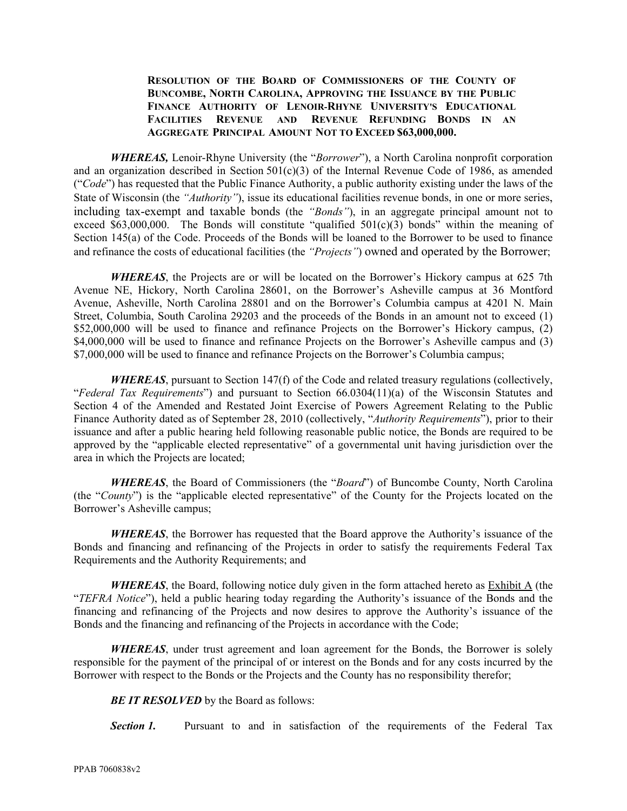## **RESOLUTION OF THE BOARD OF COMMISSIONERS OF THE COUNTY OF BUNCOMBE, NORTH CAROLINA, APPROVING THE ISSUANCE BY THE PUBLIC FINANCE AUTHORITY OF LENOIR‐RHYNE UNIVERSITY'S EDUCATIONAL FACILITIES REVENUE AND REVENUE REFUNDING BONDS IN AN AGGREGATE PRINCIPAL AMOUNT NOT TO EXCEED \$63,000,000.**

*WHEREAS,* Lenoir-Rhyne University (the "*Borrower*"), a North Carolina nonprofit corporation and an organization described in Section 501(c)(3) of the Internal Revenue Code of 1986, as amended ("*Code*") has requested that the Public Finance Authority, a public authority existing under the laws of the State of Wisconsin (the *"Authority"*), issue its educational facilities revenue bonds, in one or more series, including tax-exempt and taxable bonds (the *"Bonds"*), in an aggregate principal amount not to exceed \$63,000,000. The Bonds will constitute "qualified 501(c)(3) bonds" within the meaning of Section 145(a) of the Code. Proceeds of the Bonds will be loaned to the Borrower to be used to finance and refinance the costs of educational facilities (the *"Projects"*) owned and operated by the Borrower;

*WHEREAS*, the Projects are or will be located on the Borrower's Hickory campus at 625 7th Avenue NE, Hickory, North Carolina 28601, on the Borrower's Asheville campus at 36 Montford Avenue, Asheville, North Carolina 28801 and on the Borrower's Columbia campus at 4201 N. Main Street, Columbia, South Carolina 29203 and the proceeds of the Bonds in an amount not to exceed (1) \$52,000,000 will be used to finance and refinance Projects on the Borrower's Hickory campus, (2) \$4,000,000 will be used to finance and refinance Projects on the Borrower's Asheville campus and (3) \$7,000,000 will be used to finance and refinance Projects on the Borrower's Columbia campus;

*WHEREAS*, pursuant to Section 147(f) of the Code and related treasury regulations (collectively, "*Federal Tax Requirements*") and pursuant to Section 66.0304(11)(a) of the Wisconsin Statutes and Section 4 of the Amended and Restated Joint Exercise of Powers Agreement Relating to the Public Finance Authority dated as of September 28, 2010 (collectively, "*Authority Requirements*"), prior to their issuance and after a public hearing held following reasonable public notice, the Bonds are required to be approved by the "applicable elected representative" of a governmental unit having jurisdiction over the area in which the Projects are located;

*WHEREAS*, the Board of Commissioners (the "*Board*") of Buncombe County, North Carolina (the "*County*") is the "applicable elected representative" of the County for the Projects located on the Borrower's Asheville campus;

*WHEREAS*, the Borrower has requested that the Board approve the Authority's issuance of the Bonds and financing and refinancing of the Projects in order to satisfy the requirements Federal Tax Requirements and the Authority Requirements; and

*WHEREAS*, the Board, following notice duly given in the form attached hereto as **Exhibit A** (the "*TEFRA Notice*"), held a public hearing today regarding the Authority's issuance of the Bonds and the financing and refinancing of the Projects and now desires to approve the Authority's issuance of the Bonds and the financing and refinancing of the Projects in accordance with the Code;

*WHEREAS*, under trust agreement and loan agreement for the Bonds, the Borrower is solely responsible for the payment of the principal of or interest on the Bonds and for any costs incurred by the Borrower with respect to the Bonds or the Projects and the County has no responsibility therefor;

**BE IT RESOLVED** by the Board as follows:

**Section 1.** Pursuant to and in satisfaction of the requirements of the Federal Tax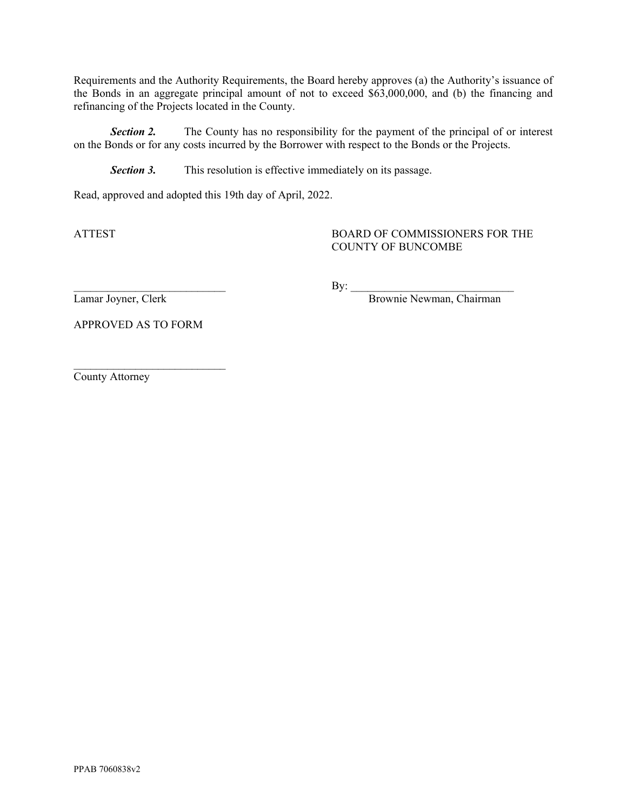Requirements and the Authority Requirements, the Board hereby approves (a) the Authority's issuance of the Bonds in an aggregate principal amount of not to exceed \$63,000,000, and (b) the financing and refinancing of the Projects located in the County.

**Section 2.** The County has no responsibility for the payment of the principal of or interest on the Bonds or for any costs incurred by the Borrower with respect to the Bonds or the Projects.

**Section 3.** This resolution is effective immediately on its passage.

Read, approved and adopted this 19th day of April, 2022.

## ATTEST BOARD OF COMMISSIONERS FOR THE COUNTY OF BUNCOMBE

 $\rm\,By:$ 

Lamar Joyner, Clerk Brownie Newman, Chairman

APPROVED AS TO FORM

 $\mathcal{L}_\text{max}$ 

County Attorney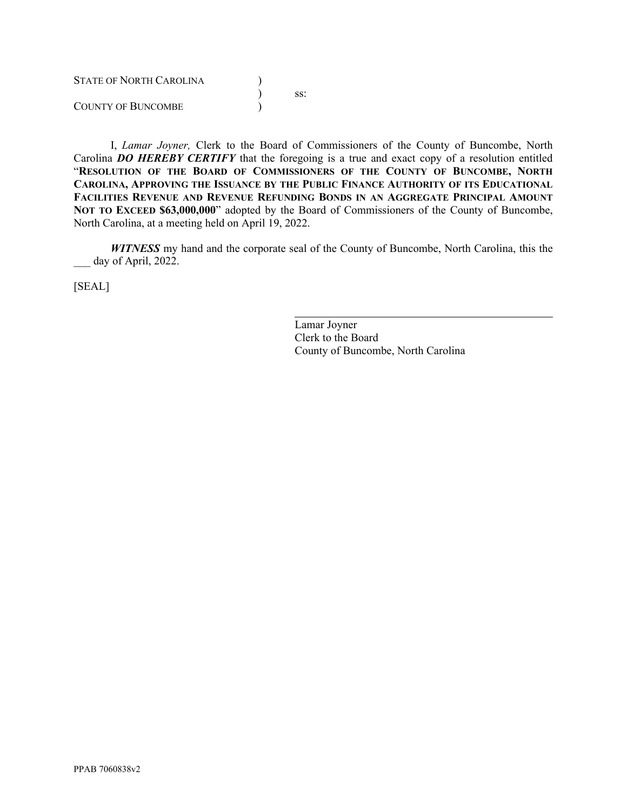| <b>STATE OF NORTH CAROLINA</b> |     |
|--------------------------------|-----|
|                                | SS: |
| COUNTY OF BUNCOMBE             |     |

I, *Lamar Joyner,* Clerk to the Board of Commissioners of the County of Buncombe, North Carolina *DO HEREBY CERTIFY* that the foregoing is a true and exact copy of a resolution entitled "**RESOLUTION OF THE BOARD OF COMMISSIONERS OF THE COUNTY OF BUNCOMBE, NORTH CAROLINA, APPROVING THE ISSUANCE BY THE PUBLIC FINANCE AUTHORITY OF ITS EDUCATIONAL FACILITIES REVENUE AND REVENUE REFUNDING BONDS IN AN AGGREGATE PRINCIPAL AMOUNT NOT TO EXCEED \$63,000,000**" adopted by the Board of Commissioners of the County of Buncombe, North Carolina, at a meeting held on April 19, 2022.

*WITNESS* my hand and the corporate seal of the County of Buncombe, North Carolina, this the day of April, 2022.

 $\overline{a}$ 

[SEAL]

Lamar Joyner Clerk to the Board County of Buncombe, North Carolina